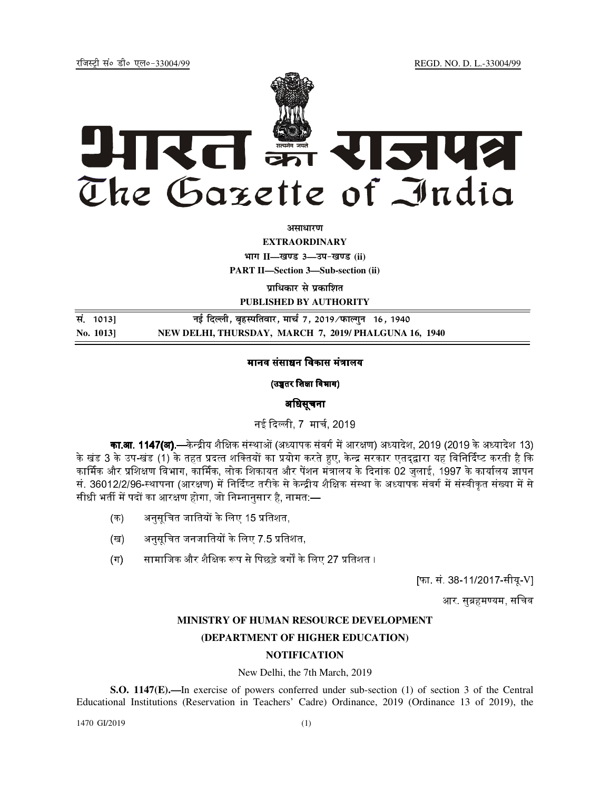REGD. NO. D. L.-33004/99

रजिस्टी सं० डी० एल०-33004/99



अमाधारण

**EXTRAORDINARY** 

भाग II-खण्ड 3-उप-खण्ड (ii)

**PART II-Section 3-Sub-section (ii)** 

प्राधिकार से प्रकाशित PUBLISHED BY AUTHORITY

सं. 1013] नई दिल्ली, बृहस्पतिवार, मार्च 7, 2019/फाल्गुन 16, 1940 NEW DELHI, THURSDAY, MARCH 7, 2019/ PHALGUNA 16, 1940 No. 10131

## मानव संसाधन विकास मंत्रालय

(उच्चतर शिक्षा विभाग)

# अधिसूचना

नई दिल्ली, 7 मार्च, 2019

**का.आ. 1147(अ).**—केन्द्रीय शैक्षिक संस्थाओं (अध्यापक संवर्ग में आरक्षण) अध्यादेश, 2019 (2019 के अध्यादेश 13) के खंड 3 के उप-खंड (1) के तहत प्रदत्त शक्तियों का प्रयोग करते हुए, केन्द्र सरकार एतदुद्वारा यह विनिर्दिष्ट करती है कि कार्मिक और प्रशिक्षण विभाग, कार्मिक, लोक शिकायत और पेंशन मंत्रालय के दिनांक 02 जुलाई, 1997 के कार्यालय ज्ञापन सं. 36012/2/96-स्थापना (आरक्षण) में निर्दिष्ट तरीके से केन्द्रीय शैक्षिक संस्था के अध्यापक संवर्ग में संस्वीकत संख्या में से सीधी भर्ती में पदों का आरक्षण होगा, जो निम्नानुसार है, नामत:—

- अनुसूचित जातियों के लिए 15 प्रतिशत, (क)
- अनुसूचित जनजातियों के लिए 7.5 प्रतिशत, (ख)
- सामाजिक और शैक्षिक रूप से पिछडे वर्गों के लिए 27 प्रतिशत ।  $(\Pi)$

[फा. सं. 38-11/2017-सीयू-V]

आर. सुब्रहमण्यम, सचिव

# MINISTRY OF HUMAN RESOURCE DEVELOPMENT

### (DEPARTMENT OF HIGHER EDUCATION)

### **NOTIFICATION**

### New Delhi, the 7th March, 2019

S.O. 1147(E).—In exercise of powers conferred under sub-section (1) of section 3 of the Central Educational Institutions (Reservation in Teachers' Cadre) Ordinance, 2019 (Ordinance 13 of 2019), the